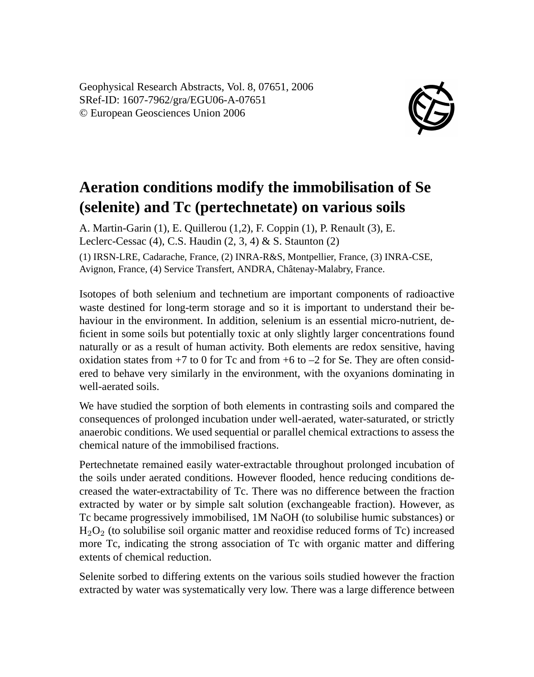Geophysical Research Abstracts, Vol. 8, 07651, 2006 SRef-ID: 1607-7962/gra/EGU06-A-07651 © European Geosciences Union 2006



## **Aeration conditions modify the immobilisation of Se (selenite) and Tc (pertechnetate) on various soils**

A. Martin-Garin (1), E. Quillerou (1,2), F. Coppin (1), P. Renault (3), E. Leclerc-Cessac  $(4)$ , C.S. Haudin  $(2, 3, 4)$  & S. Staunton  $(2)$ (1) IRSN-LRE, Cadarache, France, (2) INRA-R&S, Montpellier, France, (3) INRA-CSE, Avignon, France, (4) Service Transfert, ANDRA, Châtenay-Malabry, France.

Isotopes of both selenium and technetium are important components of radioactive waste destined for long-term storage and so it is important to understand their behaviour in the environment. In addition, selenium is an essential micro-nutrient, deficient in some soils but potentially toxic at only slightly larger concentrations found naturally or as a result of human activity. Both elements are redox sensitive, having oxidation states from  $+7$  to 0 for Tc and from  $+6$  to  $-2$  for Se. They are often considered to behave very similarly in the environment, with the oxyanions dominating in well-aerated soils.

We have studied the sorption of both elements in contrasting soils and compared the consequences of prolonged incubation under well-aerated, water-saturated, or strictly anaerobic conditions. We used sequential or parallel chemical extractions to assess the chemical nature of the immobilised fractions.

Pertechnetate remained easily water-extractable throughout prolonged incubation of the soils under aerated conditions. However flooded, hence reducing conditions decreased the water-extractability of Tc. There was no difference between the fraction extracted by water or by simple salt solution (exchangeable fraction). However, as Tc became progressively immobilised, 1M NaOH (to solubilise humic substances) or  $H<sub>2</sub>O<sub>2</sub>$  (to solubilise soil organic matter and reoxidise reduced forms of Tc) increased more Tc, indicating the strong association of Tc with organic matter and differing extents of chemical reduction.

Selenite sorbed to differing extents on the various soils studied however the fraction extracted by water was systematically very low. There was a large difference between